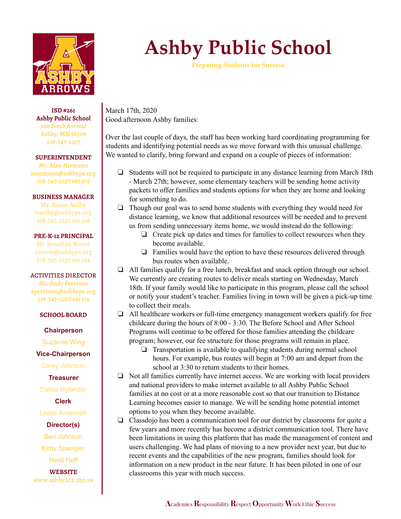

**ISD #261 Ashby Public School** 300 Birch Avenue Ashby, MN 56309 218-747-2257

**SUPERINTENDENT**

Mr. Alan Niemann aniemann@ashbyps.org 218-747-2257 ext 105

### **BUSINESS MANAGER**

Ms. Renee Melby rmelby@ashbyps.org 218-747-2257 ext 106

#### **PRE-K-12 PRINCIPAL**

Mr. Jonathan Moore jmoore@ashbyps.org 218-747-2257 ext 104

#### ACTIVITIES DIRECTOR

Mr. Andy Peterson apeterson@ashbyps.org 218-747-2257 ext 114

#### **SCHOOL BOARD**

**Chairperson**

Suzanne Wing

**Vice-Chairperson**

Corey Johnson

## **Treasurer**

Dallas Rylander

**Clerk**

Leslie Anderson

**Director(s)**

Ben Johnson

Kirby Spangler

Heidi Hoff

**WEBSITE** www.ashby.k12.mn.us

# **Ashby Public School**

**Preparing Students for Success**

March 17th, 2020 Good afternoon Ashby families:

Over the last couple of days, the staff has been working hard coordinating programming for students and identifying potential needs as we move forward with this unusual challenge. We wanted to clarify, bring forward and expand on a couple of pieces of information:

- ❏ Students will not be required to participate in any distance learning from March 18th - March 27th; however, some elementary teachers will be sending home activity packets to offer families and students options for when they are home and looking for something to do.
- ❏ Though our goal was to send home students with everything they would need for distance learning, we know that additional resources will be needed and to prevent us from sending unnecessary items home, we would instead do the following:
	- ❏ Create pick up dates and times for families to collect resources when they become available.
	- ❏ Families would have the option to have these resources delivered through bus routes when available.
- ❏ All families qualify for a free lunch, breakfast and snack option through our school. We currently are creating routes to deliver meals starting on Wednesday, March 18th. If your family would like to participate in this program, please call the school or notify your student's teacher. Families living in town will be given a pick-up time to collect their meals.
- ❏ All healthcare workers or full-time emergency management workers qualify for free childcare during the hours of 8:00 - 3:30. The Before School and After School Programs will continue to be offered for those families attending the childcare program; however, our fee structure for those programs will remain in place.
	- ❏ Transportation is available to qualifying students during normal school hours. For example, bus routes will begin at 7:00 am and depart from the school at 3:30 to return students to their homes.
- ❏ Not all families currently have internet access. We are working with local providers and national providers to make internet available to all Ashby Public School families at no cost or at a more reasonable cost so that our transition to Distance Learning becomes easier to manage. We will be sending home potential internet options to you when they become available.
- ❏ Classdojo has been a communication tool for our district by classrooms for quite a few years and more recently has become a district communication tool. There have been limitations in using this platform that has made the management of content and users challenging. We had plans of moving to a new provider next year, but due to recent events and the capabilities of the new program, families should look for information on a new product in the near future. It has been piloted in one of our classrooms this year with much success.